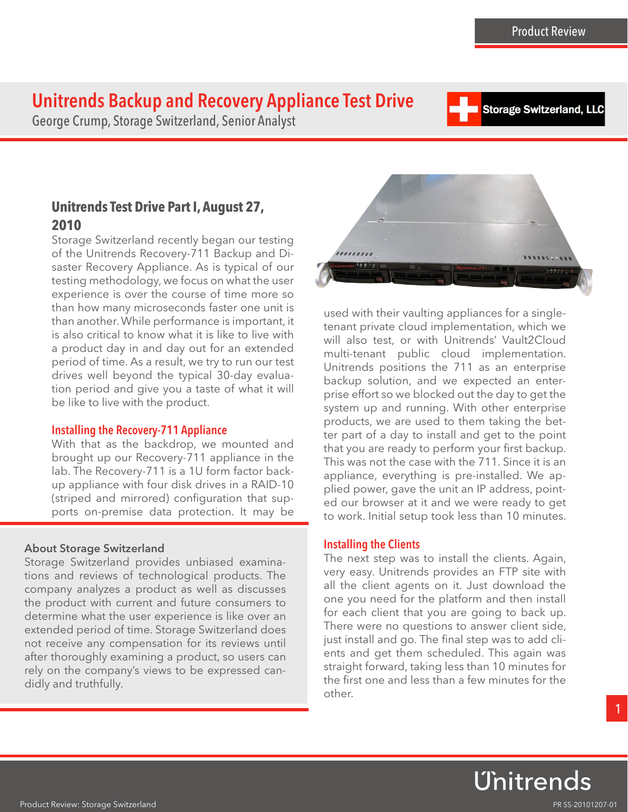**Storage Switzerland, LLC** 

# Unitrends Backup and Recovery Appliance Test Drive

George Crump, Storage Switzerland, Senior Analyst

# **Unitrends Test Drive Part I, August 27, 2010**

Storage Switzerland recently began our testing of the Unitrends Recovery-711 Backup and Disaster Recovery Appliance. As is typical of our testing methodology, we focus on what the user experience is over the course of time more so than how many microseconds faster one unit is than another. While performance is important, it is also critical to know what it is like to live with a product day in and day out for an extended period of time. As a result, we try to run our test drives well beyond the typical 30-day evaluation period and give you a taste of what it will be like to live with the product.

### Installing the Recovery-711 Appliance

With that as the backdrop, we mounted and brought up our Recovery-711 appliance in the lab. The Recovery-711 is a 1U form factor backup appliance with four disk drives in a RAID-10 (striped and mirrored) configuration that supports on-premise data protection. It may be

## About Storage Switzerland

Storage Switzerland provides unbiased examinations and reviews of technological products. The company analyzes a product as well as discusses the product with current and future consumers to determine what the user experience is like over an extended period of time. Storage Switzerland does not receive any compensation for its reviews until after thoroughly examining a product, so users can rely on the company's views to be expressed candidly and truthfully.



used with their vaulting appliances for a singletenant private cloud implementation, which we will also test, or with Unitrends' Vault2Cloud multi-tenant public cloud implementation. Unitrends positions the 711 as an enterprise backup solution, and we expected an enterprise effort so we blocked out the day to get the system up and running. With other enterprise products, we are used to them taking the better part of a day to install and get to the point that you are ready to perform your first backup. This was not the case with the 711. Since it is an appliance, everything is pre-installed. We applied power, gave the unit an IP address, pointed our browser at it and we were ready to get to work. Initial setup took less than 10 minutes.

## Installing the Clients

The next step was to install the clients. Again, very easy. Unitrends provides an FTP site with all the client agents on it. Just download the one you need for the platform and then install for each client that you are going to back up. There were no questions to answer client side, just install and go. The final step was to add clients and get them scheduled. This again was straight forward, taking less than 10 minutes for the first one and less than a few minutes for the other.

Unitrends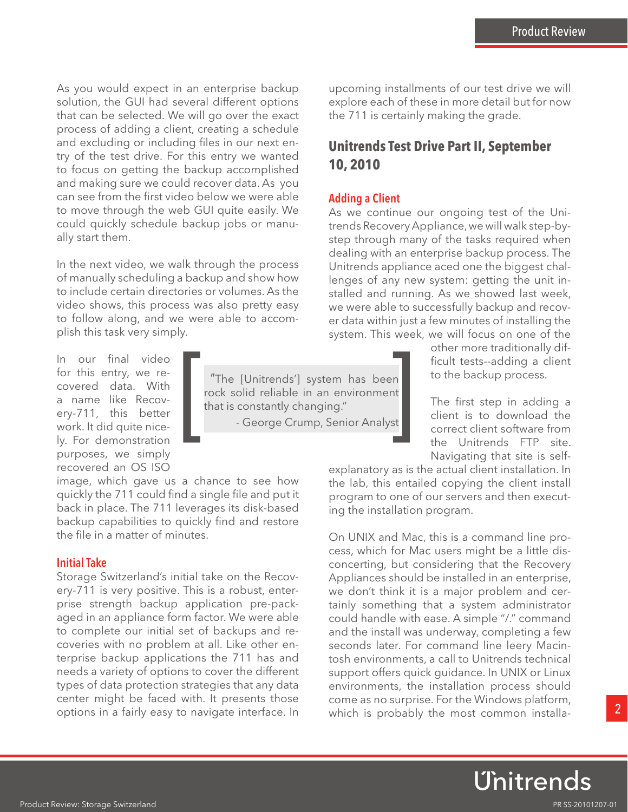As you would expect in an enterprise backup solution, the GUI had several different options that can be selected. We will go over the exact process of adding a client, creating a schedule and excluding or including files in our next entry of the test drive. For this entry we wanted to focus on getting the backup accomplished and making sure we could recover data. As you can see from the first video below we were able to move through the web GUI quite easily. We could quickly schedule backup jobs or manually start them.

In the next video, we walk through the process of manually scheduling a backup and show how to include certain directories or volumes. As the video shows, this process was also pretty easy to follow along, and we were able to accomplish this task very simply.

In our final video for this entry, we recovered data. With a name like Recovery-711, this better work. It did quite nicely. For demonstration purposes, we simply recovered an OS ISO

image, which gave us a chance to see how quickly the 711 could find a single file and put it back in place. The 711 leverages its disk-based backup capabilities to quickly find and restore the file in a matter of minutes.

#### Initial Take

Storage Switzerland's initial take on the Recovery-711 is very positive. This is a robust, enterprise strength backup application pre-packaged in an appliance form factor. We were able to complete our initial set of backups and recoveries with no problem at all. Like other enterprise backup applications the 711 has and needs a variety of options to cover the different types of data protection strategies that any data center might be faced with. It presents those options in a fairly easy to navigate interface. In

"The [Unitrends'] system has been rock solid reliable in an environment The [Unitrends'] system has been<br>rock solid reliable in an environment<br>that is constantly changing."<br>- George Crump, Senior Analyst

upcoming installments of our test drive we will explore each of these in more detail but for now the 711 is certainly making the grade.

# **Unitrends Test Drive Part II, September 10, 2010**

#### Adding a Client

As we continue our ongoing test of the Unitrends Recovery Appliance, we will walk step-bystep through many of the tasks required when dealing with an enterprise backup process. The Unitrends appliance aced one the biggest challenges of any new system: getting the unit installed and running. As we showed last week, we were able to successfully backup and recover data within just a few minutes of installing the system. This week, we will focus on one of the

> other more traditionally difficult tests--adding a client to the backup process.

> The first step in adding a client is to download the correct client software from the Unitrends FTP site. Navigating that site is self-

explanatory as is the actual client installation. In the lab, this entailed copying the client install program to one of our servers and then executing the installation program.

On UNIX and Mac, this is a command line process, which for Mac users might be a little disconcerting, but considering that the Recovery Appliances should be installed in an enterprise, we don't think it is a major problem and certainly something that a system administrator could handle with ease. A simple "/." command and the install was underway, completing a few seconds later. For command line leery Macintosh environments, a call to Unitrends technical support offers quick guidance. In UNIX or Linux environments, the installation process should come as no surprise. For the Windows platform, which is probably the most common installa-

Unitrends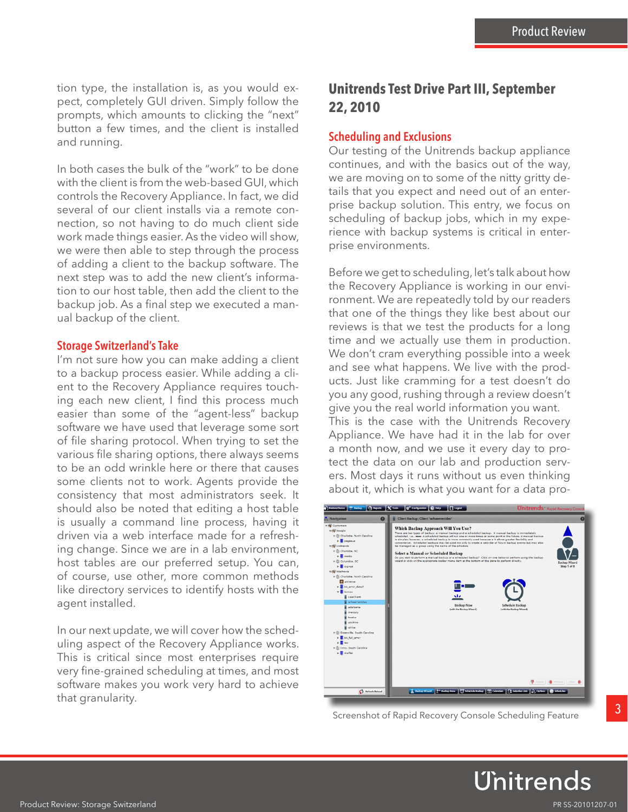tion type, the installation is, as you would expect, completely GUI driven. Simply follow the prompts, which amounts to clicking the "next" button a few times, and the client is installed and running.

In both cases the bulk of the "work" to be done with the client is from the web-based GUI, which controls the Recovery Appliance. In fact, we did several of our client installs via a remote connection, so not having to do much client side work made things easier. As the video will show, we were then able to step through the process of adding a client to the backup software. The next step was to add the new client's information to our host table, then add the client to the backup job. As a final step we executed a manual backup of the client.

#### Storage Switzerland's Take

I'm not sure how you can make adding a client to a backup process easier. While adding a client to the Recovery Appliance requires touching each new client, I find this process much easier than some of the "agent-less" backup software we have used that leverage some sort of file sharing protocol. When trying to set the various file sharing options, there always seems to be an odd wrinkle here or there that causes some clients not to work. Agents provide the consistency that most administrators seek. It should also be noted that editing a host table is usually a command line process, having it driven via a web interface made for a refreshing change. Since we are in a lab environment, host tables are our preferred setup. You can, of course, use other, more common methods like directory services to identify hosts with the agent installed.

In our next update, we will cover how the scheduling aspect of the Recovery Appliance works. This is critical since most enterprises require very fine-grained scheduling at times, and most software makes you work very hard to achieve that granularity.

# **Unitrends Test Drive Part III, September 22, 2010**

#### Scheduling and Exclusions

Our testing of the Unitrends backup appliance continues, and with the basics out of the way, we are moving on to some of the nitty gritty details that you expect and need out of an enterprise backup solution. This entry, we focus on scheduling of backup jobs, which in my experience with backup systems is critical in enterprise environments.

Before we get to scheduling, let's talk about how the Recovery Appliance is working in our environment. We are repeatedly told by our readers that one of the things they like best about our reviews is that we test the products for a long time and we actually use them in production. We don't cram everything possible into a week and see what happens. We live with the products. Just like cramming for a test doesn't do you any good, rushing through a review doesn't give you the real world information you want. This is the case with the Unitrends Recovery Appliance. We have had it in the lab for over a month now, and we use it every day to protect the data on our lab and production servers. Most days it runs without us even thinking about it, which is what you want for a data pro-



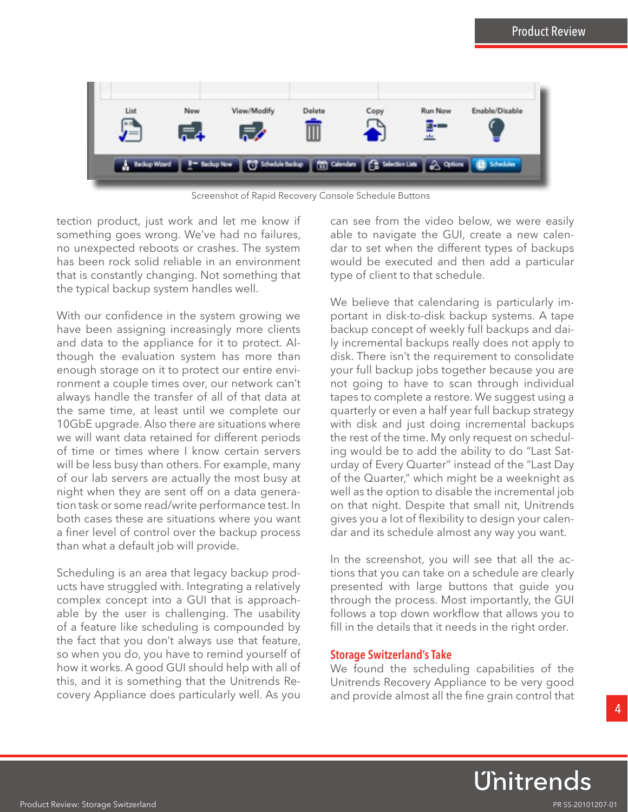

Screenshot of Rapid Recovery Console Schedule Buttons

tection product, just work and let me know if something goes wrong. We've had no failures, no unexpected reboots or crashes. The system has been rock solid reliable in an environment that is constantly changing. Not something that the typical backup system handles well.

With our confidence in the system growing we have been assigning increasingly more clients and data to the appliance for it to protect. Although the evaluation system has more than enough storage on it to protect our entire environment a couple times over, our network can't always handle the transfer of all of that data at the same time, at least until we complete our 10GbE upgrade. Also there are situations where we will want data retained for different periods of time or times where I know certain servers will be less busy than others. For example, many of our lab servers are actually the most busy at night when they are sent off on a data generation task or some read/write performance test. In both cases these are situations where you want a finer level of control over the backup process than what a default job will provide.

Scheduling is an area that legacy backup products have struggled with. Integrating a relatively complex concept into a GUI that is approachable by the user is challenging. The usability of a feature like scheduling is compounded by the fact that you don't always use that feature, so when you do, you have to remind yourself of how it works. A good GUI should help with all of this, and it is something that the Unitrends Recovery Appliance does particularly well. As you

can see from the video below, we were easily able to navigate the GUI, create a new calendar to set when the different types of backups would be executed and then add a particular type of client to that schedule.

We believe that calendaring is particularly important in disk-to-disk backup systems. A tape backup concept of weekly full backups and daily incremental backups really does not apply to disk. There isn't the requirement to consolidate your full backup jobs together because you are not going to have to scan through individual tapes to complete a restore. We suggest using a quarterly or even a half year full backup strategy with disk and just doing incremental backups the rest of the time. My only request on scheduling would be to add the ability to do "Last Saturday of Every Quarter" instead of the "Last Day of the Quarter," which might be a weeknight as well as the option to disable the incremental job on that night. Despite that small nit, Unitrends gives you a lot of flexibility to design your calendar and its schedule almost any way you want.

In the screenshot, you will see that all the actions that you can take on a schedule are clearly presented with large buttons that guide you through the process. Most importantly, the GUI follows a top down workflow that allows you to fill in the details that it needs in the right order.

#### Storage Switzerland's Take

We found the scheduling capabilities of the Unitrends Recovery Appliance to be very good and provide almost all the fine grain control that

Unitrends